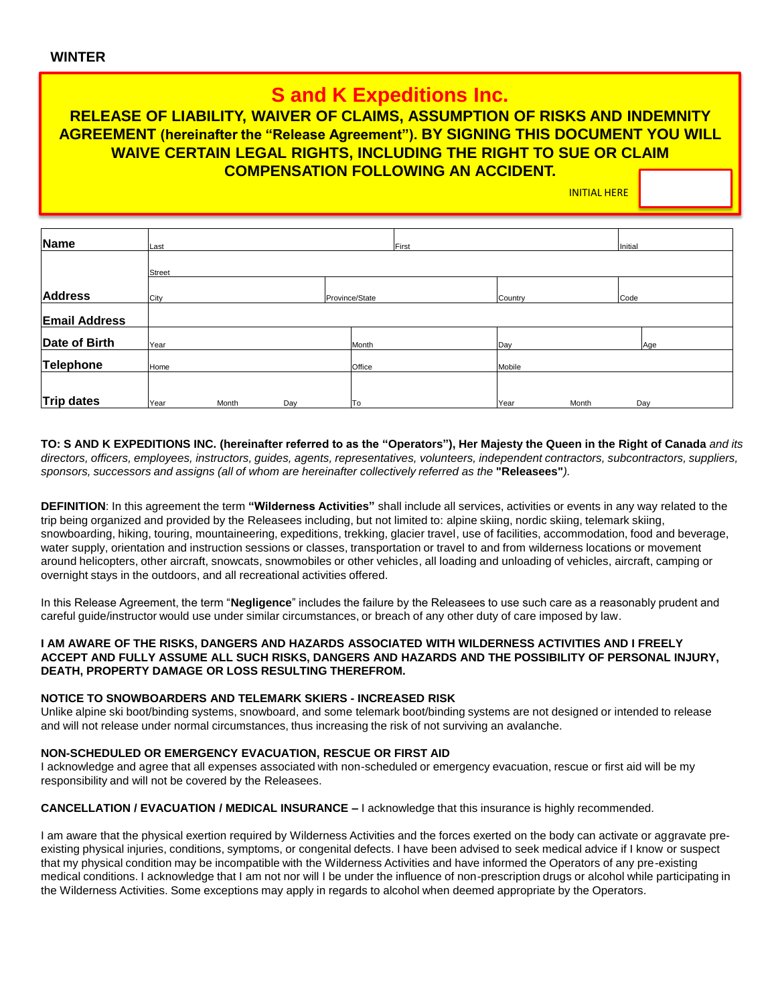# **S and K Expeditions Inc.**

### **RELEASE OF LIABILITY, WAIVER OF CLAIMS, ASSUMPTION OF RISKS AND INDEMNITY AGREEMENT (hereinafter the "Release Agreement"). BY SIGNING THIS DOCUMENT YOU WILL WAIVE CERTAIN LEGAL RIGHTS, INCLUDING THE RIGHT TO SUE OR CLAIM COMPENSATION FOLLOWING AN ACCIDENT.**

INITIAL HERE

| Name                 | Last   |       |     |                | First   |       |      | Initial |  |
|----------------------|--------|-------|-----|----------------|---------|-------|------|---------|--|
|                      | Street |       |     |                |         |       |      |         |  |
| <b>Address</b>       | City   |       |     | Province/State | Country |       | Code |         |  |
| <b>Email Address</b> |        |       |     |                |         |       |      |         |  |
| Date of Birth        | Year   |       |     | Month          | Day     |       | Age  |         |  |
| Telephone            | Home   |       |     | Office         | Mobile  |       |      |         |  |
|                      |        |       |     |                |         |       |      |         |  |
| Trip dates           | Year   | Month | Day | To             | Year    | Month | Day  |         |  |

**TO: S AND K EXPEDITIONS INC. (hereinafter referred to as the "Operators"), Her Majesty the Queen in the Right of Canada** *and its directors, officers, employees, instructors, guides, agents, representatives, volunteers, independent contractors, subcontractors, suppliers, sponsors, successors and assigns (all of whom are hereinafter collectively referred as the* **"Releasees"***).* 

**DEFINITION**: In this agreement the term **"Wilderness Activities"** shall include all services, activities or events in any way related to the trip being organized and provided by the Releasees including, but not limited to: alpine skiing, nordic skiing, telemark skiing, snowboarding, hiking, touring, mountaineering, expeditions, trekking, glacier travel, use of facilities, accommodation, food and beverage, water supply, orientation and instruction sessions or classes, transportation or travel to and from wilderness locations or movement around helicopters, other aircraft, snowcats, snowmobiles or other vehicles, all loading and unloading of vehicles, aircraft, camping or overnight stays in the outdoors, and all recreational activities offered.

In this Release Agreement, the term "**Negligence**" includes the failure by the Releasees to use such care as a reasonably prudent and careful guide/instructor would use under similar circumstances, or breach of any other duty of care imposed by law.

### **I AM AWARE OF THE RISKS, DANGERS AND HAZARDS ASSOCIATED WITH WILDERNESS ACTIVITIES AND I FREELY ACCEPT AND FULLY ASSUME ALL SUCH RISKS, DANGERS AND HAZARDS AND THE POSSIBILITY OF PERSONAL INJURY, DEATH, PROPERTY DAMAGE OR LOSS RESULTING THEREFROM.**

### **NOTICE TO SNOWBOARDERS AND TELEMARK SKIERS - INCREASED RISK**

Unlike alpine ski boot/binding systems, snowboard, and some telemark boot/binding systems are not designed or intended to release and will not release under normal circumstances, thus increasing the risk of not surviving an avalanche.

### **NON-SCHEDULED OR EMERGENCY EVACUATION, RESCUE OR FIRST AID**

I acknowledge and agree that all expenses associated with non-scheduled or emergency evacuation, rescue or first aid will be my responsibility and will not be covered by the Releasees.

### **CANCELLATION / EVACUATION / MEDICAL INSURANCE –** I acknowledge that this insurance is highly recommended.

I am aware that the physical exertion required by Wilderness Activities and the forces exerted on the body can activate or aggravate preexisting physical injuries, conditions, symptoms, or congenital defects. I have been advised to seek medical advice if I know or suspect that my physical condition may be incompatible with the Wilderness Activities and have informed the Operators of any pre-existing medical conditions. I acknowledge that I am not nor will I be under the influence of non-prescription drugs or alcohol while participating in the Wilderness Activities. Some exceptions may apply in regards to alcohol when deemed appropriate by the Operators.